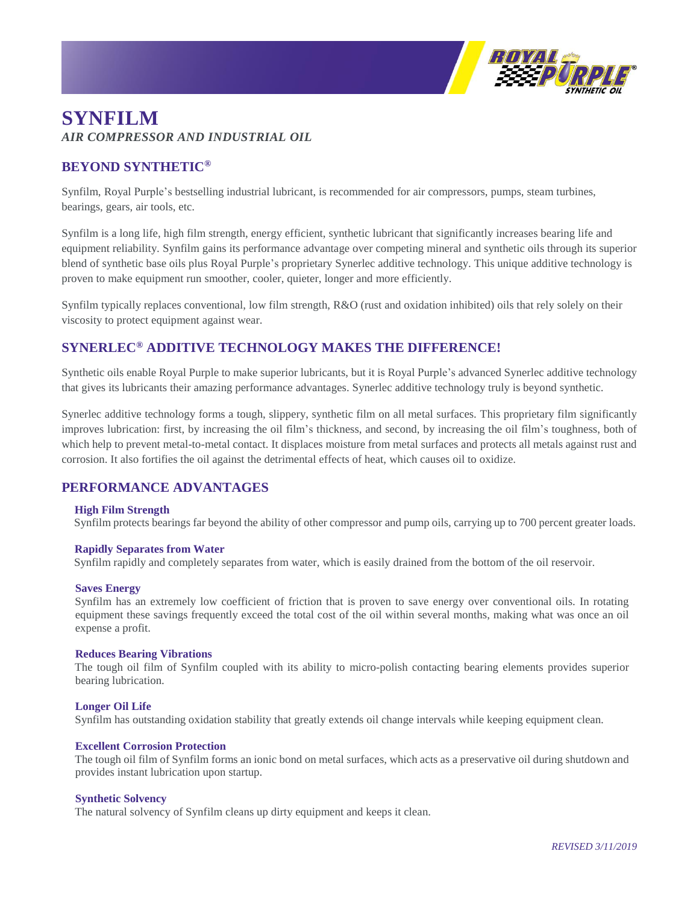

# **SYNFILM** *AIR COMPRESSOR AND INDUSTRIAL OIL*

# **BEYOND SYNTHETIC®**

Synfilm, Royal Purple's bestselling industrial lubricant, is recommended for air compressors, pumps, steam turbines, bearings, gears, air tools, etc.

Synfilm is a long life, high film strength, energy efficient, synthetic lubricant that significantly increases bearing life and equipment reliability. Synfilm gains its performance advantage over competing mineral and synthetic oils through its superior blend of synthetic base oils plus Royal Purple's proprietary Synerlec additive technology. This unique additive technology is proven to make equipment run smoother, cooler, quieter, longer and more efficiently.

Synfilm typically replaces conventional, low film strength, R&O (rust and oxidation inhibited) oils that rely solely on their viscosity to protect equipment against wear.

# **SYNERLEC® ADDITIVE TECHNOLOGY MAKES THE DIFFERENCE!**

Synthetic oils enable Royal Purple to make superior lubricants, but it is Royal Purple's advanced Synerlec additive technology that gives its lubricants their amazing performance advantages. Synerlec additive technology truly is beyond synthetic.

Synerlec additive technology forms a tough, slippery, synthetic film on all metal surfaces. This proprietary film significantly improves lubrication: first, by increasing the oil film's thickness, and second, by increasing the oil film's toughness, both of which help to prevent metal-to-metal contact. It displaces moisture from metal surfaces and protects all metals against rust and corrosion. It also fortifies the oil against the detrimental effects of heat, which causes oil to oxidize.

## **PERFORMANCE ADVANTAGES**

#### **High Film Strength**

Synfilm protects bearings far beyond the ability of other compressor and pump oils, carrying up to 700 percent greater loads.

#### **Rapidly Separates from Water**

Synfilm rapidly and completely separates from water, which is easily drained from the bottom of the oil reservoir.

#### **Saves Energy**

Synfilm has an extremely low coefficient of friction that is proven to save energy over conventional oils. In rotating equipment these savings frequently exceed the total cost of the oil within several months, making what was once an oil expense a profit.

#### **Reduces Bearing Vibrations**

The tough oil film of Synfilm coupled with its ability to micro-polish contacting bearing elements provides superior bearing lubrication.

#### **Longer Oil Life**

Synfilm has outstanding oxidation stability that greatly extends oil change intervals while keeping equipment clean.

#### **Excellent Corrosion Protection**

The tough oil film of Synfilm forms an ionic bond on metal surfaces, which acts as a preservative oil during shutdown and provides instant lubrication upon startup.

#### **Synthetic Solvency**

The natural solvency of Synfilm cleans up dirty equipment and keeps it clean.